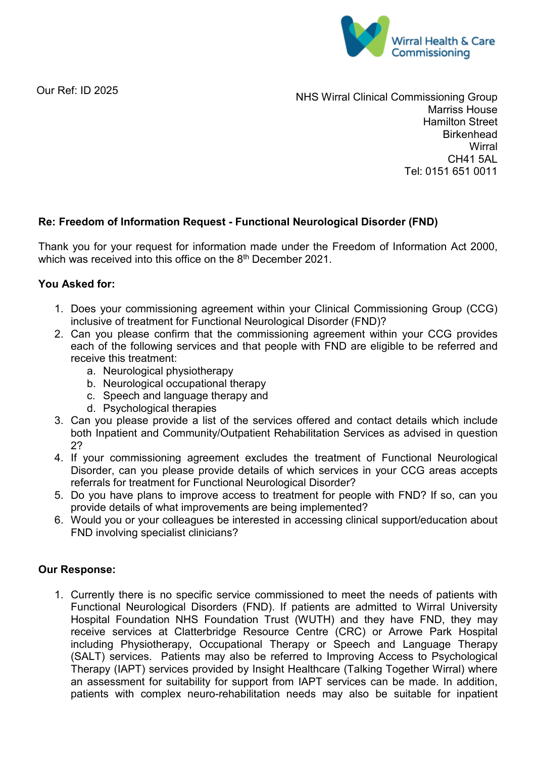

Our Ref: ID 2025

NHS Wirral Clinical Commissioning Group Marriss House Hamilton Street **Birkenhead Wirral** CH41 5AL Tel: 0151 651 0011

## **Re: Freedom of Information Request - Functional Neurological Disorder (FND)**

Thank you for your request for information made under the Freedom of Information Act 2000, which was received into this office on the 8<sup>th</sup> December 2021.

## **You Asked for:**

- 1. Does your commissioning agreement within your Clinical Commissioning Group (CCG) inclusive of treatment for Functional Neurological Disorder (FND)?
- 2. Can you please confirm that the commissioning agreement within your CCG provides each of the following services and that people with FND are eligible to be referred and receive this treatment:
	- a. Neurological physiotherapy
	- b. Neurological occupational therapy
	- c. Speech and language therapy and
	- d. Psychological therapies
- 3. Can you please provide a list of the services offered and contact details which include both Inpatient and Community/Outpatient Rehabilitation Services as advised in question 2?
- 4. If your commissioning agreement excludes the treatment of Functional Neurological Disorder, can you please provide details of which services in your CCG areas accepts referrals for treatment for Functional Neurological Disorder?
- 5. Do you have plans to improve access to treatment for people with FND? If so, can you provide details of what improvements are being implemented?
- 6. Would you or your colleagues be interested in accessing clinical support/education about FND involving specialist clinicians?

## **Our Response:**

1. Currently there is no specific service commissioned to meet the needs of patients with Functional Neurological Disorders (FND). If patients are admitted to Wirral University Hospital Foundation NHS Foundation Trust (WUTH) and they have FND, they may receive services at Clatterbridge Resource Centre (CRC) or Arrowe Park Hospital including Physiotherapy, Occupational Therapy or Speech and Language Therapy (SALT) services. Patients may also be referred to Improving Access to Psychological Therapy (IAPT) services provided by Insight Healthcare (Talking Together Wirral) where an assessment for suitability for support from IAPT services can be made. In addition, patients with complex neuro-rehabilitation needs may also be suitable for inpatient